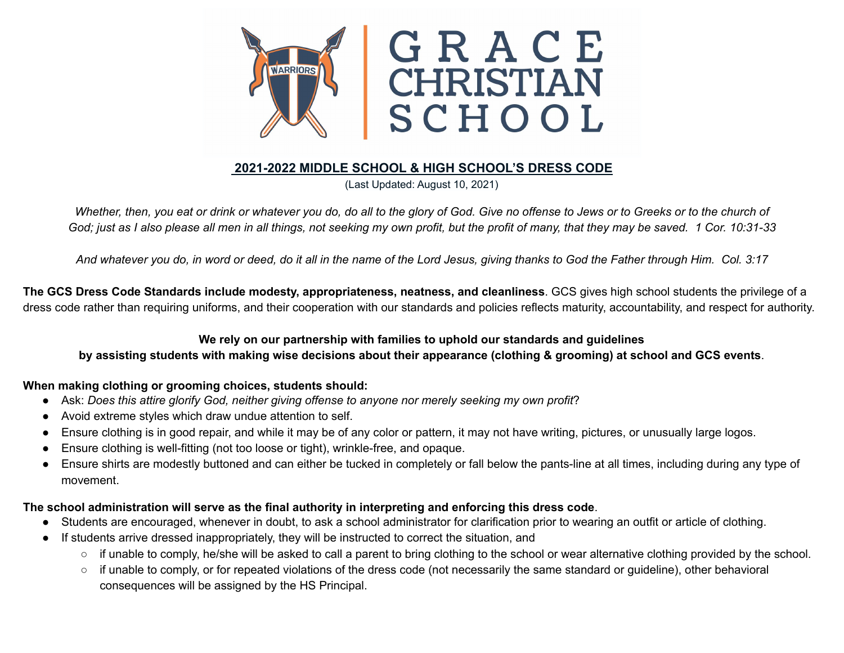

# **2021-2022 MIDDLE SCHOOL & HIGH SCHOOL'S DRESS CODE**

(Last Updated: August 10, 2021)

Whether, then, you eat or drink or whatever you do, do all to the glory of God. Give no offense to Jews or to Greeks or to the church of God; just as I also please all men in all things, not seeking my own profit, but the profit of many, that they may be saved. 1 Cor. 10:31-33

[And](http://biblehub.com/greek/2532.htm) [whatever](http://biblehub.com/greek/3956.htm) [you](http://biblehub.com/greek/4160.htm) do, [in](http://biblehub.com/greek/1722.htm) [word](http://biblehub.com/greek/3056.htm) [or](http://biblehub.com/greek/2228.htm) [deed,](http://biblehub.com/greek/2041.htm) [do](http://biblehub.com/greek/3956.htm) it all in the [name](http://biblehub.com/greek/3686.htm) of the [Lord](http://biblehub.com/greek/2962.htm) [Jesus,](http://biblehub.com/greek/2424.htm) giving [thanks](http://biblehub.com/greek/2168.htm) to [God](http://biblehub.com/greek/2316.htm) the [Father](http://biblehub.com/greek/3962.htm) [through](http://biblehub.com/greek/1223.htm) [Him.](http://biblehub.com/greek/846.htm) Col. 3:17

**The GCS Dress Code Standards include modesty, appropriateness, neatness, and cleanliness**. GCS gives high school students the privilege of a dress code rather than requiring uniforms, and their cooperation with our standards and policies reflects maturity, accountability, and respect for authority.

## **We rely on our partnership with families to uphold our standards and guidelines**

## by assisting students with making wise decisions about their appearance (clothing & grooming) at school and GCS events.

## **When making clothing or grooming choices, students should:**

- Ask: *Does this attire glorify God, neither giving offense to anyone nor merely seeking my own profit*?
- Avoid extreme styles which draw undue attention to self.
- Ensure clothing is in good repair, and while it may be of any color or pattern, it may not have writing, pictures, or unusually large logos.
- Ensure clothing is well-fitting (not too loose or tight), wrinkle-free, and opaque.
- Ensure shirts are modestly buttoned and can either be tucked in completely or fall below the pants-line at all times, including during any type of movement.

## **The school administration will serve as the final authority in interpreting and enforcing this dress code**.

- Students are encouraged, whenever in doubt, to ask a school administrator for clarification prior to wearing an outfit or article of clothing.
- If students arrive dressed inappropriately, they will be instructed to correct the situation, and
	- if unable to comply, he/she will be asked to call a parent to bring clothing to the school or wear alternative clothing provided by the school.
	- if unable to comply, or for repeated violations of the dress code (not necessarily the same standard or guideline), other behavioral consequences will be assigned by the HS Principal.